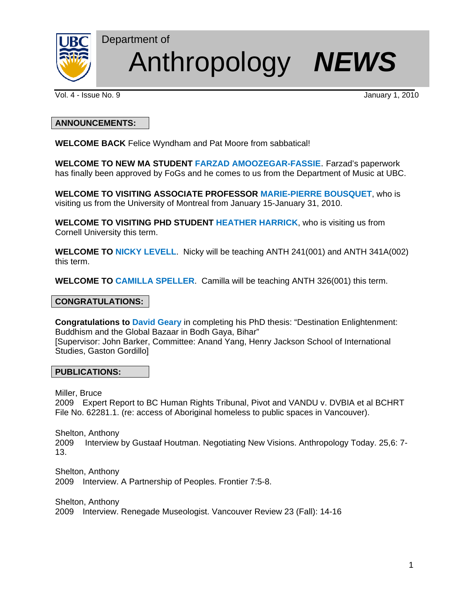

# Department of Anthropology *NEWS*

Vol. 4 - Issue No. 9 January 1, 2010

# **ANNOUNCEMENTS:**

**WELCOME BACK** Felice Wyndham and Pat Moore from sabbatical!

**WELCOME TO NEW MA STUDENT FARZAD AMOOZEGAR-FASSIE**. Farzad's paperwork has finally been approved by FoGs and he comes to us from the Department of Music at UBC.

**WELCOME TO VISITING ASSOCIATE PROFESSOR MARIE-PIERRE BOUSQUET**, who is visiting us from the University of Montreal from January 15-January 31, 2010.

**WELCOME TO VISITING PHD STUDENT HEATHER HARRICK**, who is visiting us from Cornell University this term.

**WELCOME TO NICKY LEVELL**. Nicky will be teaching ANTH 241(001) and ANTH 341A(002) this term.

**WELCOME TO CAMILLA SPELLER**. Camilla will be teaching ANTH 326(001) this term.

# **CONGRATULATIONS:**

**Congratulations to David Geary** in completing his PhD thesis: "Destination Enlightenment: Buddhism and the Global Bazaar in Bodh Gaya, Bihar" [Supervisor: John Barker, Committee: Anand Yang, Henry Jackson School of International Studies, Gaston Gordillo]

#### **PUBLICATIONS:**

Miller, Bruce

2009 Expert Report to BC Human Rights Tribunal, Pivot and VANDU v. DVBIA et al BCHRT File No. 62281.1. (re: access of Aboriginal homeless to public spaces in Vancouver).

Shelton, Anthony 2009 Interview by Gustaaf Houtman. Negotiating New Visions. Anthropology Today. 25,6: 7- 13.

Shelton, Anthony 2009 Interview. A Partnership of Peoples. Frontier 7:5-8.

Shelton, Anthony 2009 Interview. Renegade Museologist. Vancouver Review 23 (Fall): 14-16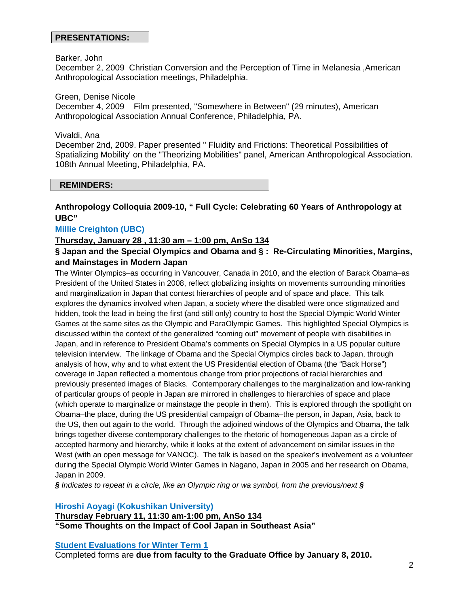#### **PRESENTATIONS:**

#### Barker, John

December 2, 2009 Christian Conversion and the Perception of Time in Melanesia ,American Anthropological Association meetings, Philadelphia.

Green, Denise Nicole

December 4, 2009 Film presented, "Somewhere in Between" (29 minutes), American Anthropological Association Annual Conference, Philadelphia, PA.

#### Vivaldi, Ana

December 2nd, 2009. Paper presented " Fluidity and Frictions: Theoretical Possibilities of Spatializing Mobility' on the "Theorizing Mobilities" panel, American Anthropological Association. 108th Annual Meeting, Philadelphia, PA.

#### **REMINDERS:**

# **Anthropology Colloquia 2009-10, " Full Cycle: Celebrating 60 Years of Anthropology at UBC"**

## **Millie Creighton (UBC)**

#### **Thursday, January 28 , 11:30 am – 1:00 pm, AnSo 134**

# **§ Japan and the Special Olympics and Obama and § : Re-Circulating Minorities, Margins, and Mainstages in Modern Japan**

The Winter Olympics–as occurring in Vancouver, Canada in 2010, and the election of Barack Obama–as President of the United States in 2008, reflect globalizing insights on movements surrounding minorities and marginalization in Japan that contest hierarchies of people and of space and place. This talk explores the dynamics involved when Japan, a society where the disabled were once stigmatized and hidden, took the lead in being the first (and still only) country to host the Special Olympic World Winter Games at the same sites as the Olympic and ParaOlympic Games. This highlighted Special Olympics is discussed within the context of the generalized "coming out" movement of people with disabilities in Japan, and in reference to President Obama's comments on Special Olympics in a US popular culture television interview. The linkage of Obama and the Special Olympics circles back to Japan, through analysis of how, why and to what extent the US Presidential election of Obama (the "Back Horse") coverage in Japan reflected a momentous change from prior projections of racial hierarchies and previously presented images of Blacks. Contemporary challenges to the marginalization and low-ranking of particular groups of people in Japan are mirrored in challenges to hierarchies of space and place (which operate to marginalize or mainstage the people in them). This is explored through the spotlight on Obama–the place, during the US presidential campaign of Obama–the person, in Japan, Asia, back to the US, then out again to the world. Through the adjoined windows of the Olympics and Obama, the talk brings together diverse contemporary challenges to the rhetoric of homogeneous Japan as a circle of accepted harmony and hierarchy, while it looks at the extent of advancement on similar issues in the West (with an open message for VANOC). The talk is based on the speaker's involvement as a volunteer during the Special Olympic World Winter Games in Nagano, Japan in 2005 and her research on Obama, Japan in 2009.

*§ Indicates to repeat in a circle, like an Olympic ring or wa symbol, from the previous/next §*

#### **Hiroshi Aoyagi (Kokushikan University)**

**Thursday February 11, 11:30 am-1:00 pm, AnSo 134 "Some Thoughts on the Impact of Cool Japan in Southeast Asia"** 

#### **Student Evaluations for Winter Term 1**

Completed forms are **due from faculty to the Graduate Office by January 8, 2010.**